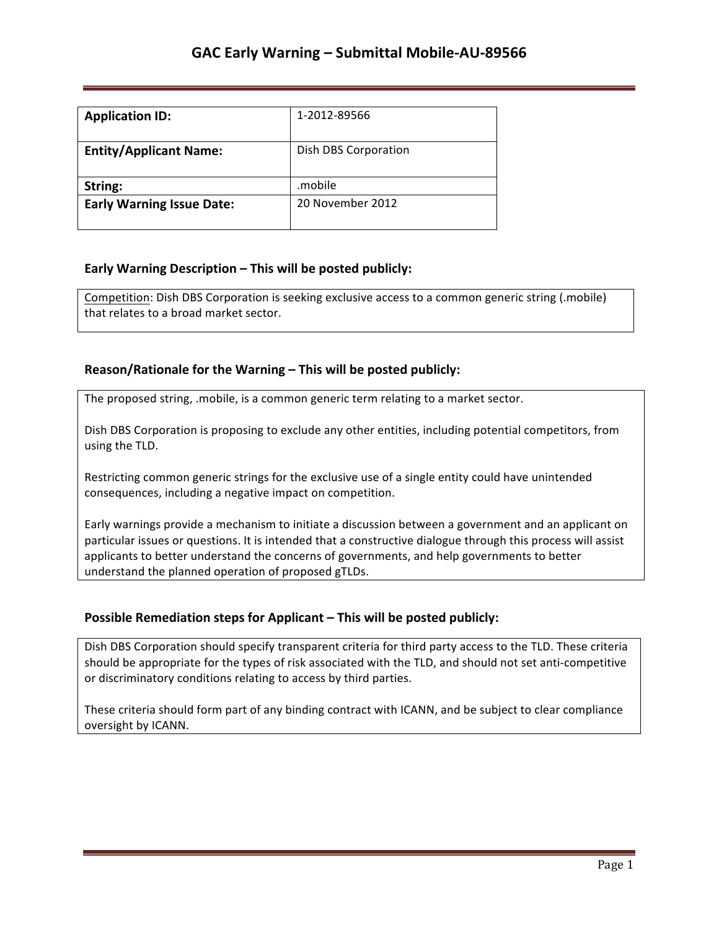| <b>Application ID:</b>           | 1-2012-89566         |
|----------------------------------|----------------------|
| <b>Entity/Applicant Name:</b>    | Dish DBS Corporation |
| String:                          | .mobile              |
| <b>Early Warning Issue Date:</b> | 20 November 2012     |

## **Early Warning Description – This will be posted publicly:**

Competition: Dish DBS Corporation is seeking exclusive access to a common generic string (.mobile) that relates to a broad market sector.

## **Reason/Rationale for the Warning – This will be posted publicly:**

The proposed string, .mobile, is a common generic term relating to a market sector.

Dish DBS Corporation is proposing to exclude any other entities, including potential competitors, from using the TLD.

Restricting common generic strings for the exclusive use of a single entity could have unintended consequences, including a negative impact on competition.

Early warnings provide a mechanism to initiate a discussion between a government and an applicant on particular issues or questions. It is intended that a constructive dialogue through this process will assist applicants to better understand the concerns of governments, and help governments to better understand the planned operation of proposed gTLDs.

### **Possible Remediation steps for Applicant – This will be posted publicly:**

Dish DBS Corporation should specify transparent criteria for third party access to the TLD. These criteria should be appropriate for the types of risk associated with the TLD, and should not set anti-competitive or discriminatory conditions relating to access by third parties.

These criteria should form part of any binding contract with ICANN, and be subject to clear compliance oversight by ICANN.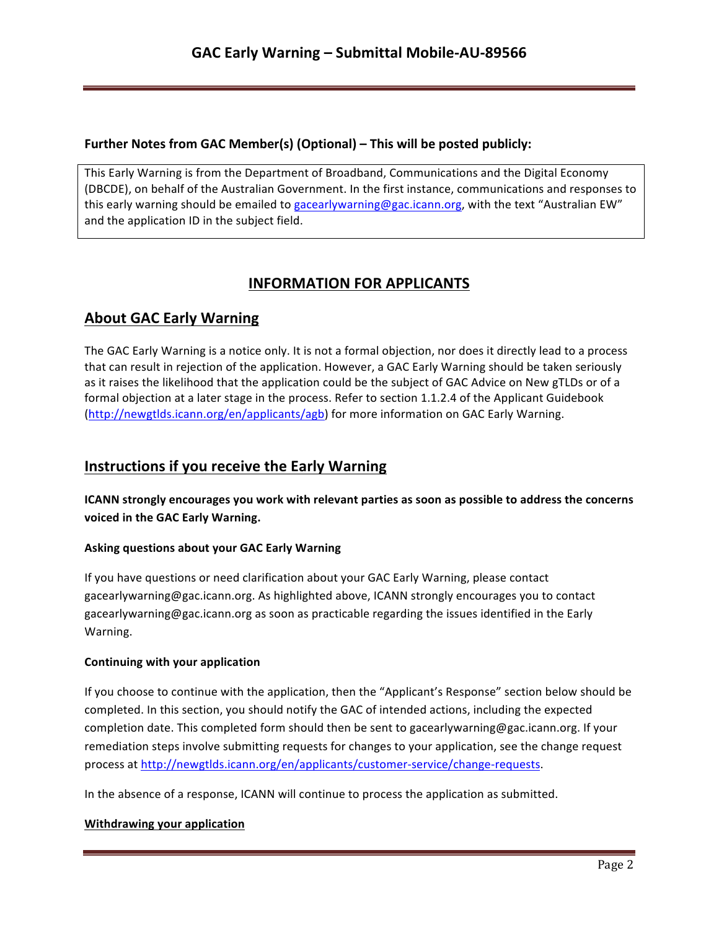## **Further Notes from GAC Member(s) (Optional) – This will be posted publicly:**

This Early Warning is from the Department of Broadband, Communications and the Digital Economy (DBCDE), on behalf of the Australian Government. In the first instance, communications and responses to this early warning should be emailed to gacearlywarning@gac.icann.org, with the text "Australian EW" and the application ID in the subject field.

# **INFORMATION FOR APPLICANTS**

## **About GAC Early Warning**

The GAC Early Warning is a notice only. It is not a formal objection, nor does it directly lead to a process that can result in rejection of the application. However, a GAC Early Warning should be taken seriously as it raises the likelihood that the application could be the subject of GAC Advice on New gTLDs or of a formal objection at a later stage in the process. Refer to section 1.1.2.4 of the Applicant Guidebook (http://newgtlds.icann.org/en/applicants/agb) for more information on GAC Early Warning.

## **Instructions if you receive the Early Warning**

**ICANN** strongly encourages you work with relevant parties as soon as possible to address the concerns voiced in the GAC Early Warning.

### **Asking questions about your GAC Early Warning**

If you have questions or need clarification about your GAC Early Warning, please contact gacearlywarning@gac.icann.org. As highlighted above, ICANN strongly encourages you to contact gacearlywarning@gac.icann.org as soon as practicable regarding the issues identified in the Early Warning. 

### **Continuing with your application**

If you choose to continue with the application, then the "Applicant's Response" section below should be completed. In this section, you should notify the GAC of intended actions, including the expected completion date. This completed form should then be sent to gacearlywarning@gac.icann.org. If your remediation steps involve submitting requests for changes to your application, see the change request process at http://newgtlds.icann.org/en/applicants/customer-service/change-requests.

In the absence of a response, ICANN will continue to process the application as submitted.

### **Withdrawing your application**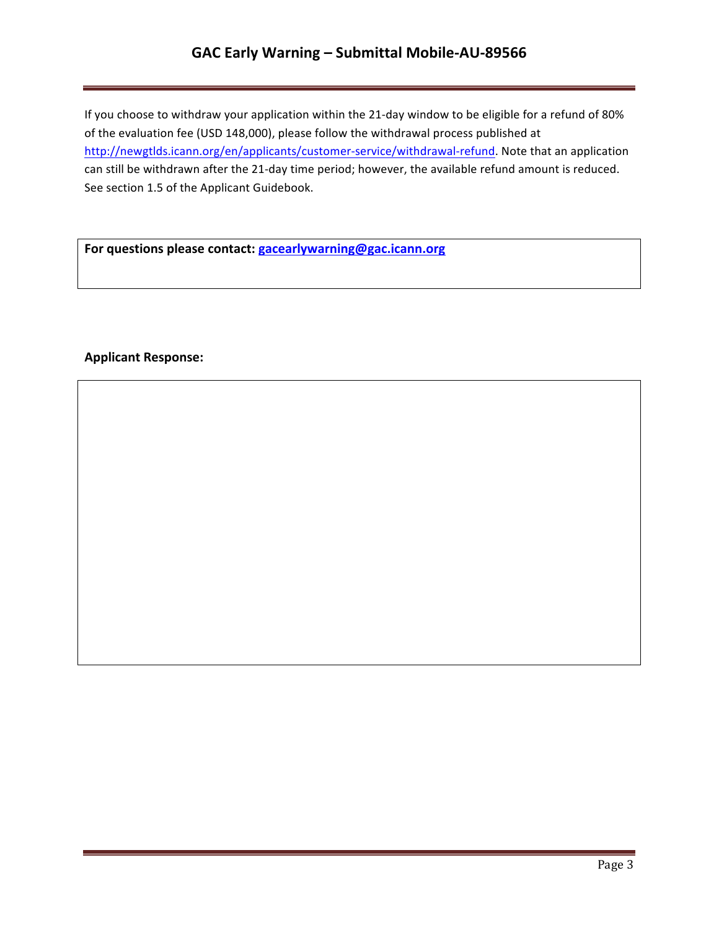# GAC Early Warning - Submittal Mobile-AU-89566

If you choose to withdraw your application within the 21-day window to be eligible for a refund of 80% of the evaluation fee (USD 148,000), please follow the withdrawal process published at http://newgtlds.icann.org/en/applicants/customer-service/withdrawal-refund. Note that an application can still be withdrawn after the 21-day time period; however, the available refund amount is reduced. See section 1.5 of the Applicant Guidebook.

For questions please contact: **gacearlywarning@gac.icann.org** 

### **Applicant Response:**